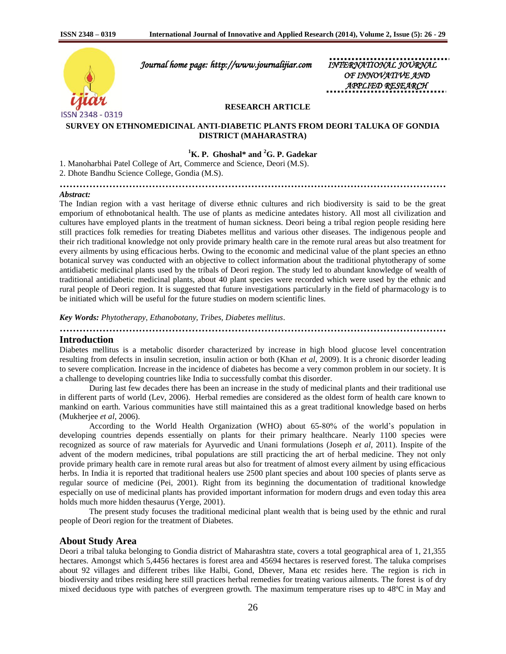

 *Journal home page: http://www.journalijiar.com INTERNATIONAL JOURNAL* 

*OF INNOVATIVE APPLIED RESEARCH* 

#### **RESEARCH ARTICLE**

## **SURVEY ON ETHNOMEDICINAL ANTI-DIABETIC PLANTS FROM DEORI TALUKA OF GONDIA DISTRICT (MAHARASTRA)**

# **<sup>1</sup>K. P. Ghoshal\* and <sup>2</sup>G. P. Gadekar**

**………………………………………………………………………………………………………**

1. Manoharbhai Patel College of Art, Commerce and Science, Deori (M.S).

2. Dhote Bandhu Science College, Gondia (M.S).

#### *Abstract:*

The Indian region with a vast heritage of diverse ethnic cultures and rich biodiversity is said to be the great emporium of ethnobotanical health. The use of plants as medicine antedates history. All most all civilization and cultures have employed plants in the treatment of human sickness. Deori being a tribal region people residing here still practices folk remedies for treating Diabetes mellitus and various other diseases. The indigenous people and their rich traditional knowledge not only provide primary health care in the remote rural areas but also treatment for every ailments by using efficacious herbs. Owing to the economic and medicinal value of the plant species an ethno botanical survey was conducted with an objective to collect information about the traditional phytotherapy of some antidiabetic medicinal plants used by the tribals of Deori region. The study led to abundant knowledge of wealth of traditional antidiabetic medicinal plants, about 40 plant species were recorded which were used by the ethnic and rural people of Deori region. It is suggested that future investigations particularly in the field of pharmacology is to be initiated which will be useful for the future studies on modern scientific lines.

*Key Words: Phytotherapy, Ethanobotany, Tribes, Diabetes mellitus*.

**……………………………………………………………………………………………………… Introduction**

Diabetes mellitus is a metabolic disorder characterized by increase in high blood glucose level concentration resulting from defects in insulin secretion, insulin action or both (Khan *et al*, 2009). It is a chronic disorder leading to severe complication. Increase in the incidence of diabetes has become a very common problem in our society. It is a challenge to developing countries like India to successfully combat this disorder.

During last few decades there has been an increase in the study of medicinal plants and their traditional use in different parts of world (Lev, 2006). Herbal remedies are considered as the oldest form of health care known to mankind on earth. Various communities have still maintained this as a great traditional knowledge based on herbs (Mukherjee *et al*, 2006).

According to the World Health Organization (WHO) about 65-80% of the world's population in developing countries depends essentially on plants for their primary healthcare. Nearly 1100 species were recognized as source of raw materials for Ayurvedic and Unani formulations (Joseph *et al*, 2011). Inspite of the advent of the modern medicines, tribal populations are still practicing the art of herbal medicine. They not only provide primary health care in remote rural areas but also for treatment of almost every ailment by using efficacious herbs. In India it is reported that traditional healers use 2500 plant species and about 100 species of plants serve as regular source of medicine (Pei, 2001). Right from its beginning the documentation of traditional knowledge especially on use of medicinal plants has provided important information for modern drugs and even today this area holds much more hidden thesaurus (Yerge, 2001).

The present study focuses the traditional medicinal plant wealth that is being used by the ethnic and rural people of Deori region for the treatment of Diabetes.

### **About Study Area**

Deori a tribal taluka belonging to Gondia district of Maharashtra state, covers a total geographical area of 1, 21,355 hectares. Amongst which 5,4456 hectares is forest area and 45694 hectares is reserved forest. The taluka comprises about 92 villages and different tribes like Halbi, Gond, Dhever, Mana etc resides here. The region is rich in biodiversity and tribes residing here still practices herbal remedies for treating various ailments. The forest is of dry mixed deciduous type with patches of evergreen growth. The maximum temperature rises up to 48ºC in May and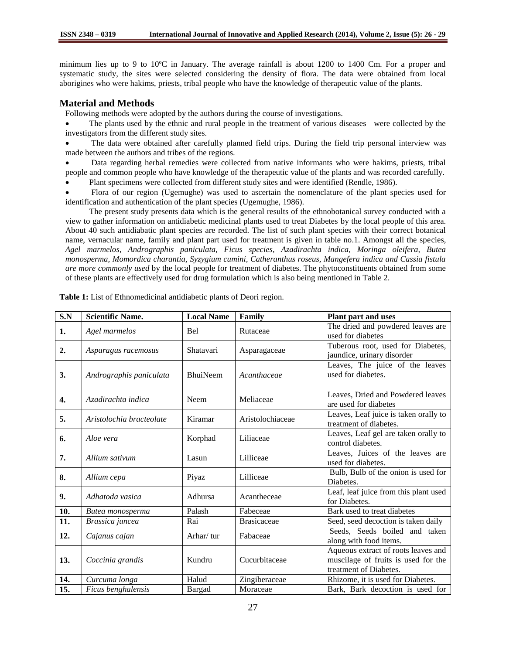minimum lies up to 9 to 10ºC in January. The average rainfall is about 1200 to 1400 Cm. For a proper and systematic study, the sites were selected considering the density of flora. The data were obtained from local aborigines who were hakims, priests, tribal people who have the knowledge of therapeutic value of the plants.

# **Material and Methods**

Following methods were adopted by the authors during the course of investigations.

 The plants used by the ethnic and rural people in the treatment of various diseases were collected by the investigators from the different study sites.

 The data were obtained after carefully planned field trips. During the field trip personal interview was made between the authors and tribes of the regions.

 Data regarding herbal remedies were collected from native informants who were hakims, priests, tribal people and common people who have knowledge of the therapeutic value of the plants and was recorded carefully.

Plant specimens were collected from different study sites and were identified (Rendle, 1986).

 Flora of our region (Ugemughe) was used to ascertain the nomenclature of the plant species used for identification and authentication of the plant species (Ugemughe, 1986).

The present study presents data which is the general results of the ethnobotanical survey conducted with a view to gather information on antidiabetic medicinal plants used to treat Diabetes by the local people of this area. About 40 such antidiabatic plant species are recorded. The list of such plant species with their correct botanical name, vernacular name, family and plant part used for treatment is given in table no.1. Amongst all the species, *Agel marmelos, Andrographis paniculata, Ficus species, Azadirachta indica, Moringa oleifera, Butea monosperma, Momordica charantia, Syzygium cumini, Catheranthus roseus, Mangefera indica and Cassia fistula are more commonly used* by the local people for treatment of diabetes. The phytoconstituents obtained from some of these plants are effectively used for drug formulation which is also being mentioned in Table 2.

| S.N | <b>Scientific Name.</b>  | <b>Local Name</b> | Family             | <b>Plant part and uses</b>                                                                           |
|-----|--------------------------|-------------------|--------------------|------------------------------------------------------------------------------------------------------|
| 1.  | Agel marmelos            | <b>Bel</b>        | Rutaceae           | The dried and powdered leaves are<br>used for diabetes                                               |
| 2.  | Asparagus racemosus      | Shatavari         | Asparagaceae       | Tuberous root, used for Diabetes,<br>jaundice, urinary disorder                                      |
| 3.  | Andrographis paniculata  | <b>BhuiNeem</b>   | Acanthaceae        | Leaves, The juice of the leaves<br>used for diabetes.                                                |
| 4.  | Azadirachta indica       | Neem              | Meliaceae          | Leaves, Dried and Powdered leaves<br>are used for diabetes                                           |
| 5.  | Aristolochia bracteolate | Kiramar           | Aristolochiaceae   | Leaves, Leaf juice is taken orally to<br>treatment of diabetes.                                      |
| 6.  | Aloe vera                | Korphad           | Liliaceae          | Leaves, Leaf gel are taken orally to<br>control diabetes.                                            |
| 7.  | Allium sativum           | Lasun             | Lilliceae          | Leaves, Juices of the leaves are<br>used for diabetes.                                               |
| 8.  | Allium cepa              | Piyaz             | Lilliceae          | Bulb, Bulb of the onion is used for<br>Diabetes.                                                     |
| 9.  | Adhatoda vasica          | Adhursa           | Acantheceae        | Leaf, leaf juice from this plant used<br>for Diabetes.                                               |
| 10. | Butea monosperma         | Palash            | Fabeceae           | Bark used to treat diabetes                                                                          |
| 11. | Brassica juncea          | Rai               | <b>Brasicaceae</b> | Seed, seed decoction is taken daily                                                                  |
| 12. | Cajanus cajan            | Arhar/tur         | Fabaceae           | Seeds, Seeds boiled and taken<br>along with food items.                                              |
| 13. | Coccinia grandis         | Kundru            | Cucurbitaceae      | Aqueous extract of roots leaves and<br>muscilage of fruits is used for the<br>treatment of Diabetes. |
| 14. | Curcuma longa            | Halud             | Zingiberaceae      | Rhizome, it is used for Diabetes.                                                                    |
| 15. | Ficus benghalensis       | Bargad            | Moraceae           | Bark, Bark decoction is used for                                                                     |

**Table 1:** List of Ethnomedicinal antidiabetic plants of Deori region.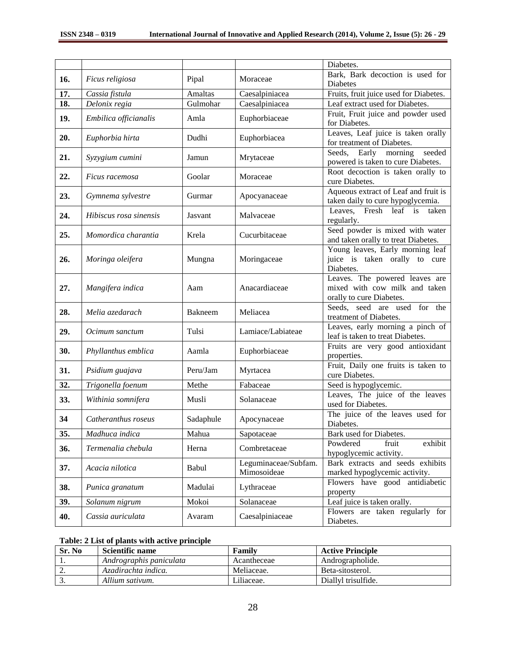|     |                        |                |                      | Diabetes.                              |
|-----|------------------------|----------------|----------------------|----------------------------------------|
| 16. | Ficus religiosa        | Pipal          | Moraceae             | Bark, Bark decoction is used for       |
|     |                        |                |                      | <b>Diabetes</b>                        |
| 17. | Cassia fistula         | Amaltas        | Caesalpiniacea       | Fruits, fruit juice used for Diabetes. |
| 18. | Delonix regia          | Gulmohar       | Caesalpiniacea       | Leaf extract used for Diabetes.        |
| 19. |                        | Amla           | Euphorbiaceae        | Fruit, Fruit juice and powder used     |
|     | Embilica officianalis  |                |                      | for Diabetes.                          |
| 20. |                        | Dudhi          |                      | Leaves, Leaf juice is taken orally     |
|     | Euphorbia hirta        |                | Euphorbiacea         | for treatment of Diabetes.             |
|     |                        |                |                      | Seeds,<br>morning<br>seeded<br>Early   |
| 21. | Syzygium cumini        | Jamun          | Mrytaceae            | powered is taken to cure Diabetes.     |
|     |                        |                |                      | Root decoction is taken orally to      |
| 22. | Ficus racemosa         | Goolar         | Moraceae             | cure Diabetes.                         |
|     |                        |                |                      | Aqueous extract of Leaf and fruit is   |
| 23. | Gymnema sylvestre      | Gurmar         | Apocyanaceae         | taken daily to cure hypoglycemia.      |
|     |                        |                |                      | Leaves, Fresh leaf is<br>taken         |
| 24. | Hibiscus rosa sinensis | Jasvant        | Malvaceae            | regularly.                             |
|     |                        |                |                      | Seed powder is mixed with water        |
| 25. | Momordica charantia    | Krela          | Cucurbitaceae        | and taken orally to treat Diabetes.    |
|     |                        |                |                      | Young leaves, Early morning leaf       |
| 26. | Moringa oleifera       | Mungna         | Moringaceae          | juice is taken orally to cure          |
|     |                        |                |                      | Diabetes.                              |
|     |                        |                |                      | Leaves. The powered leaves are         |
| 27. | Mangifera indica       | Aam            | Anacardiaceae        | mixed with cow milk and taken          |
|     |                        |                |                      | orally to cure Diabetes.               |
|     |                        |                |                      | Seeds, seed are used for the           |
| 28. | Melia azedarach        | <b>Bakneem</b> | Meliacea             | treatment of Diabetes.                 |
| 29. | Ocimum sanctum         | Tulsi          | Lamiace/Labiateae    | Leaves, early morning a pinch of       |
|     |                        |                |                      | leaf is taken to treat Diabetes.       |
| 30. |                        | Aamla          |                      | Fruits are very good antioxidant       |
|     | Phyllanthus emblica    |                | Euphorbiaceae        | properties.                            |
| 31. |                        | Peru/Jam       |                      | Fruit, Daily one fruits is taken to    |
|     | Psidium guajava        |                | Myrtacea             | cure Diabetes.                         |
| 32. | Trigonella foenum      | Methe          | Fabaceae             | Seed is hypoglycemic.                  |
| 33. | Withinia somnifera     | Musli          | Solanaceae           | Leaves, The juice of the leaves        |
|     |                        |                |                      | used for Diabetes.                     |
| 34  | Catheranthus roseus    | Sadaphule      | Apocynaceae          | The juice of the leaves used for       |
|     |                        |                |                      | Diabetes.                              |
| 35. | Madhuca indica         | Mahua          | Sapotaceae           | Bark used for Diabetes.                |
| 36. | Termenalia chebula     | Herna          | Combretaceae         | Powdered<br>exhibit<br>fruit           |
|     |                        |                |                      | hypoglycemic activity.                 |
|     |                        |                | Leguminaceae/Subfam. | Bark extracts and seeds exhibits       |
| 37. | Acacia nilotica        | Babul          | Mimosoideae          | marked hypoglycemic activity.          |
|     |                        |                |                      | Flowers have good antidiabetic         |
| 38. | Punica granatum        | Madulai        | Lythraceae           | property                               |
| 39. | Solanum nigrum         | Mokoi          | Solanaceae           | Leaf juice is taken orally.            |
|     |                        |                |                      | Flowers are taken regularly for        |
| 40. | Cassia auriculata      | Avaram         | Caesalpiniaceae      | Diabetes.                              |

# **Table: 2 List of plants with active principle**

| Sr. No   | Scientific name         | Family      | <b>Active Principle</b> |
|----------|-------------------------|-------------|-------------------------|
|          | Andrographis paniculata | Acantheceae | Andrographolide.        |
| <u>.</u> | Azadirachta indica.     | Meliaceae.  | Beta-sitosterol.        |
| <u>.</u> | Allium sativum.         | Liliaceae.  | Diallyl trisulfide.     |